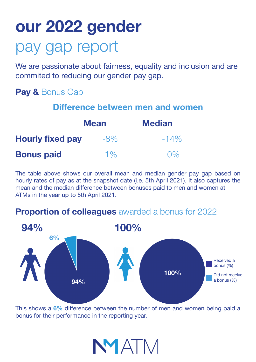## **our 2022 gender** pay gap report

We are passionate about fairness, equality and inclusion and are commited to reducing our gender pay gap.

## **Pay &** Bonus Gap

| Difference between men and women |             |               |
|----------------------------------|-------------|---------------|
|                                  | <b>Mean</b> | <b>Median</b> |
| <b>Hourly fixed pay</b>          | $-8\%$      | $-14\%$       |
| <b>Bonus paid</b>                | $1\%$       | $\Omega\%$    |

The table above shows our overall mean and median gender pay gap based on hourly rates of pay as at the snapshot date (i.e. 5th April 2021). It also captures the mean and the median difference between bonuses paid to men and women at ATMs in the year up to 5th April 2021.

## **Proportion of colleagues** awarded a bonus for 2022



This shows a **6%** difference between the number of men and women being paid a bonus for their performance in the reporting year.

NMATM